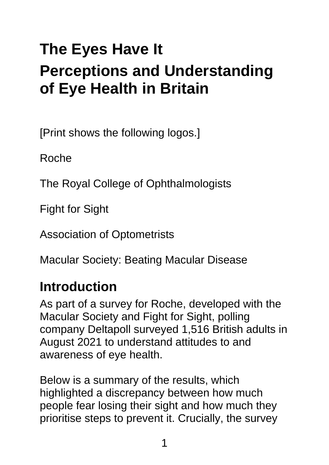# **The Eyes Have It Perceptions and Understanding of Eye Health in Britain**

[Print shows the following logos.]

Roche

The Royal College of Ophthalmologists

Fight for Sight

Association of Optometrists

Macular Society: Beating Macular Disease

### **Introduction**

As part of a survey for Roche, developed with the Macular Society and Fight for Sight, polling company Deltapoll surveyed 1,516 British adults in August 2021 to understand attitudes to and awareness of eye health.

Below is a summary of the results, which highlighted a discrepancy between how much people fear losing their sight and how much they prioritise steps to prevent it. Crucially, the survey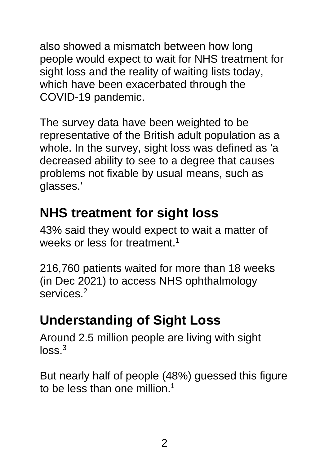also showed a mismatch between how long people would expect to wait for NHS treatment for sight loss and the reality of waiting lists today, which have been exacerbated through the COVID-19 pandemic.

The survey data have been weighted to be representative of the British adult population as a whole. In the survey, sight loss was defined as 'a decreased ability to see to a degree that causes problems not fixable by usual means, such as glasses.'

# **NHS treatment for sight loss**

43% said they would expect to wait a matter of weeks or less for treatment.<sup>1</sup>

216,760 patients waited for more than 18 weeks (in Dec 2021) to access NHS ophthalmology services<sup>2</sup>

# **Understanding of Sight Loss**

Around 2.5 million people are living with sight  $loss<sup>3</sup>$ 

But nearly half of people (48%) guessed this figure to be less than one million.<sup>1</sup>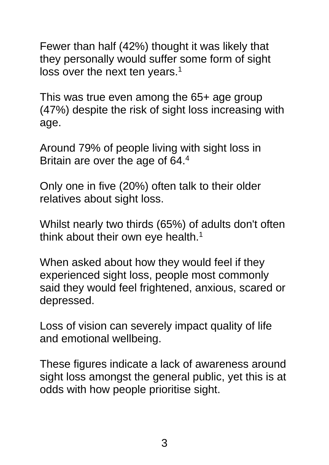Fewer than half (42%) thought it was likely that they personally would suffer some form of sight loss over the next ten years.<sup>1</sup>

This was true even among the 65+ age group (47%) despite the risk of sight loss increasing with age.

Around 79% of people living with sight loss in Britain are over the age of 64.4

Only one in five (20%) often talk to their older relatives about sight loss.

Whilst nearly two thirds (65%) of adults don't often think about their own eye health.<sup>1</sup>

When asked about how they would feel if they experienced sight loss, people most commonly said they would feel frightened, anxious, scared or depressed.

Loss of vision can severely impact quality of life and emotional wellbeing.

These figures indicate a lack of awareness around sight loss amongst the general public, yet this is at odds with how people prioritise sight.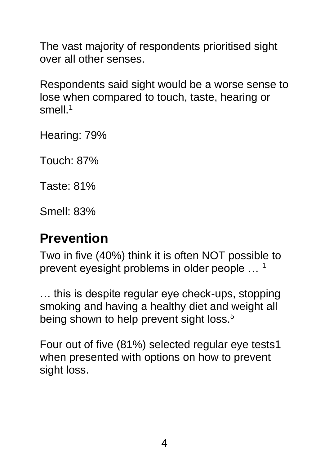The vast majority of respondents prioritised sight over all other senses.

Respondents said sight would be a worse sense to lose when compared to touch, taste, hearing or smell.<sup>1</sup>

Hearing: 79%

Touch: 87%

Taste: 81%

Smell: 83%

#### **Prevention**

Two in five (40%) think it is often NOT possible to prevent eyesight problems in older people … <sup>1</sup>

… this is despite regular eye check-ups, stopping smoking and having a healthy diet and weight all being shown to help prevent sight loss.<sup>5</sup>

Four out of five (81%) selected regular eye tests1 when presented with options on how to prevent sight loss.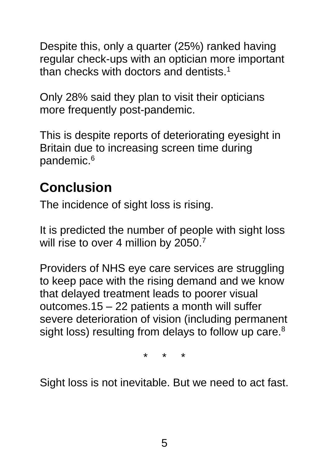Despite this, only a quarter (25%) ranked having regular check-ups with an optician more important than checks with doctors and dentists.<sup>1</sup>

Only 28% said they plan to visit their opticians more frequently post-pandemic.

This is despite reports of deteriorating eyesight in Britain due to increasing screen time during pandemic.<sup>6</sup>

# **Conclusion**

The incidence of sight loss is rising.

It is predicted the number of people with sight loss will rise to over 4 million by 2050.<sup>7</sup>

Providers of NHS eye care services are struggling to keep pace with the rising demand and we know that delayed treatment leads to poorer visual outcomes.15 – 22 patients a month will suffer severe deterioration of vision (including permanent sight loss) resulting from delays to follow up care.<sup>8</sup>

\* \* \*

Sight loss is not inevitable. But we need to act fast.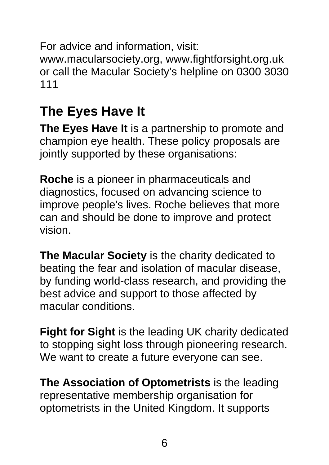For advice and information, visit: [www.macularsociety.org,](http://www.macularsociety.org/) [www.fightforsight.org.uk](http://www.fightforsight.org.uk/) or call the Macular Society's helpline on 0300 3030 111

## **The Eyes Have It**

**The Eyes Have It** is a partnership to promote and champion eye health. These policy proposals are jointly supported by these organisations:

**Roche** is a pioneer in pharmaceuticals and diagnostics, focused on advancing science to improve people's lives. Roche believes that more can and should be done to improve and protect vision.

**The Macular Society** is the charity dedicated to beating the fear and isolation of macular disease, by funding world-class research, and providing the best advice and support to those affected by macular conditions.

**Fight for Sight** is the leading UK charity dedicated to stopping sight loss through pioneering research. We want to create a future everyone can see.

**The Association of Optometrists** is the leading representative membership organisation for optometrists in the United Kingdom. It supports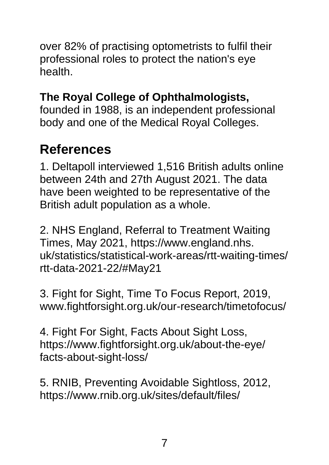over 82% of practising optometrists to fulfil their professional roles to protect the nation's eye health.

#### **The Royal College of Ophthalmologists,**

founded in 1988, is an independent professional body and one of the Medical Royal Colleges.

#### **References**

1. Deltapoll interviewed 1,516 British adults online between 24th and 27th August 2021. The data have been weighted to be representative of the British adult population as a whole.

2. NHS England, Referral to Treatment Waiting Times, May 2021, https://www.england.nhs. uk/statistics/statistical-work-areas/rtt-waiting-times/ rtt-data-2021-22/#May21

3. Fight for Sight, Time To Focus Report, 2019, [www.fightforsight.org.uk/our-research/timetofocus/](http://www.fightforsight.org.uk/our-research/timetofocus/)

4. Fight For Sight, Facts About Sight Loss, [https://www.fightforsight.org.uk/about-the-eye/](https://www.fightforsight.org.uk/about-the-eye/%0bfacts-about-sight-loss/) [facts-about-sight-loss/](https://www.fightforsight.org.uk/about-the-eye/%0bfacts-about-sight-loss/)

5. RNIB, Preventing Avoidable Sightloss, 2012, [https://www.rnib.org.uk/sites/default/files/](https://www.rnib.org.uk/sites/default/files/%0bPreventing_avoidable_sight_loss_August_2012.%0bpdf)